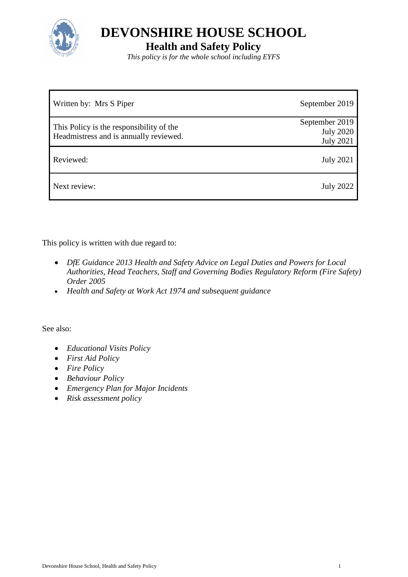

**Health and Safety Policy**

*This policy is for the whole school including EYFS*

| Written by: Mrs S Piper                  | September 2019                     |
|------------------------------------------|------------------------------------|
| This Policy is the responsibility of the | September 2019<br><b>July 2020</b> |
| Headmistress and is annually reviewed.   | <b>July 2021</b>                   |
| Reviewed:                                | <b>July 2021</b>                   |
| Next review:                             | <b>July 2022</b>                   |

This policy is written with due regard to:

- *DfE Guidance 2013 Health and Safety Advice on Legal Duties and Powers for Local Authorities, Head Teachers, Staff and Governing Bodies Regulatory Reform (Fire Safety) Order 2005*
- *Health and Safety at Work Act 1974 and subsequent guidance*

See also:

- *Educational Visits Policy*
- *First Aid Policy*
- *Fire Policy*
- *Behaviour Policy*
- *Emergency Plan for Major Incidents*
- *Risk assessment policy*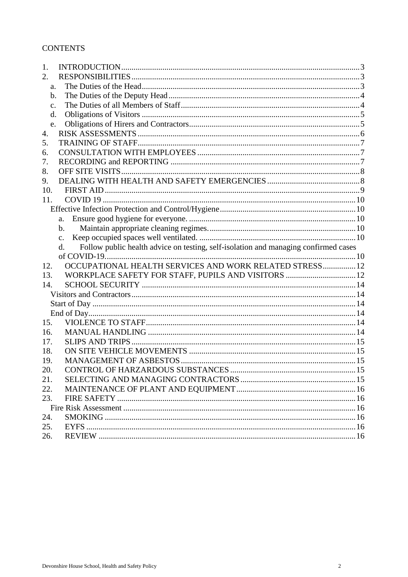# **CONTENTS**

| 1.            |                                                                                                       |  |
|---------------|-------------------------------------------------------------------------------------------------------|--|
| 2.            |                                                                                                       |  |
| a.            |                                                                                                       |  |
| b.            |                                                                                                       |  |
| $C_{\bullet}$ |                                                                                                       |  |
| d.            |                                                                                                       |  |
| e.            |                                                                                                       |  |
| 4.            |                                                                                                       |  |
| 5.            |                                                                                                       |  |
| 6.            |                                                                                                       |  |
| 7.            |                                                                                                       |  |
| 8.            |                                                                                                       |  |
| 9.            |                                                                                                       |  |
| 10.           |                                                                                                       |  |
| 11.           |                                                                                                       |  |
|               |                                                                                                       |  |
|               | a.                                                                                                    |  |
|               | $\mathbf{b}$ .                                                                                        |  |
|               | $\mathbf{c}$ .                                                                                        |  |
|               | Follow public health advice on testing, self-isolation and managing confirmed cases<br>$\mathbf{d}$ . |  |
|               |                                                                                                       |  |
|               |                                                                                                       |  |
| 12.           | OCCUPATIONAL HEALTH SERVICES AND WORK RELATED STRESS 12                                               |  |
| 13.           | WORKPLACE SAFETY FOR STAFF, PUPILS AND VISITORS  12                                                   |  |
| 14.           |                                                                                                       |  |
|               |                                                                                                       |  |
|               |                                                                                                       |  |
|               |                                                                                                       |  |
| 15.           |                                                                                                       |  |
| 16.           |                                                                                                       |  |
| 17.           |                                                                                                       |  |
| 18.           |                                                                                                       |  |
| 19.           |                                                                                                       |  |
| 20.           |                                                                                                       |  |
| 21.           |                                                                                                       |  |
| 22.           |                                                                                                       |  |
| 23.           |                                                                                                       |  |
|               |                                                                                                       |  |
| 24.           |                                                                                                       |  |
| 25.<br>26.    |                                                                                                       |  |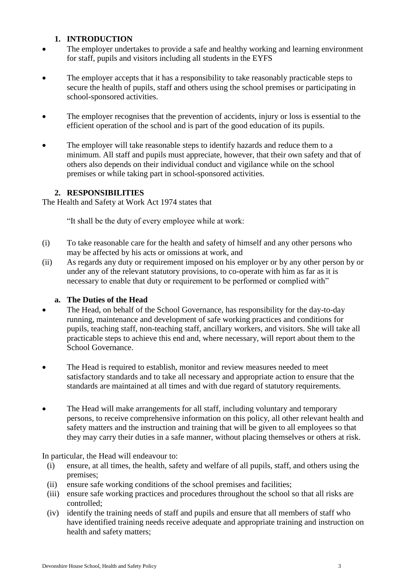# **1. INTRODUCTION**

- <span id="page-2-0"></span>• The employer undertakes to provide a safe and healthy working and learning environment for staff, pupils and visitors including all students in the EYFS
- The employer accepts that it has a responsibility to take reasonably practicable steps to secure the health of pupils, staff and others using the school premises or participating in school-sponsored activities.
- The employer recognises that the prevention of accidents, injury or loss is essential to the efficient operation of the school and is part of the good education of its pupils.
- The employer will take reasonable steps to identify hazards and reduce them to a minimum. All staff and pupils must appreciate, however, that their own safety and that of others also depends on their individual conduct and vigilance while on the school premises or while taking part in school-sponsored activities.

# **2. RESPONSIBILITIES**

<span id="page-2-1"></span>The Health and Safety at Work Act 1974 states that

"It shall be the duty of every employee while at work:

- (i) To take reasonable care for the health and safety of himself and any other persons who may be affected by his acts or omissions at work, and
- (ii) As regards any duty or requirement imposed on his employer or by any other person by or under any of the relevant statutory provisions, to co-operate with him as far as it is necessary to enable that duty or requirement to be performed or complied with"

# **a. The Duties of the Head**

- <span id="page-2-2"></span> The Head, on behalf of the School Governance, has responsibility for the day-to-day running, maintenance and development of safe working practices and conditions for pupils, teaching staff, non-teaching staff, ancillary workers, and visitors. She will take all practicable steps to achieve this end and, where necessary, will report about them to the School Governance.
- The Head is required to establish, monitor and review measures needed to meet satisfactory standards and to take all necessary and appropriate action to ensure that the standards are maintained at all times and with due regard of statutory requirements.
- The Head will make arrangements for all staff, including voluntary and temporary persons, to receive comprehensive information on this policy, all other relevant health and safety matters and the instruction and training that will be given to all employees so that they may carry their duties in a safe manner, without placing themselves or others at risk.

In particular, the Head will endeavour to:

- (i) ensure, at all times, the health, safety and welfare of all pupils, staff, and others using the premises;
- (ii) ensure safe working conditions of the school premises and facilities;
- (iii) ensure safe working practices and procedures throughout the school so that all risks are controlled;
- (iv) identify the training needs of staff and pupils and ensure that all members of staff who have identified training needs receive adequate and appropriate training and instruction on health and safety matters;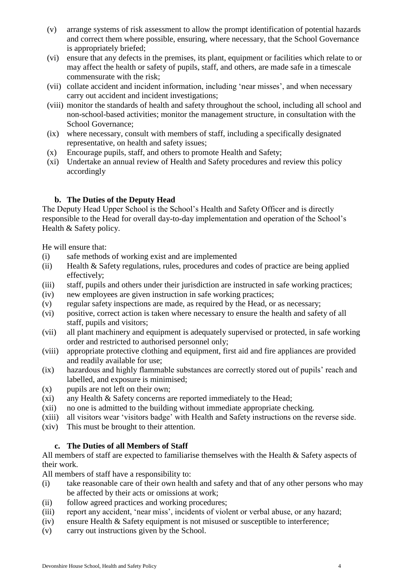- (v) arrange systems of risk assessment to allow the prompt identification of potential hazards and correct them where possible, ensuring, where necessary, that the School Governance is appropriately briefed;
- (vi) ensure that any defects in the premises, its plant, equipment or facilities which relate to or may affect the health or safety of pupils, staff, and others, are made safe in a timescale commensurate with the risk;
- (vii) collate accident and incident information, including 'near misses', and when necessary carry out accident and incident investigations;
- (viii) monitor the standards of health and safety throughout the school, including all school and non-school-based activities; monitor the management structure, in consultation with the School Governance;
- (ix) where necessary, consult with members of staff, including a specifically designated representative, on health and safety issues;
- (x) Encourage pupils, staff, and others to promote Health and Safety;
- (xi) Undertake an annual review of Health and Safety procedures and review this policy accordingly

# **b. The Duties of the Deputy Head**

<span id="page-3-0"></span>The Deputy Head Upper School is the School's Health and Safety Officer and is directly responsible to the Head for overall day-to-day implementation and operation of the School's Health & Safety policy.

He will ensure that:

- (i) safe methods of working exist and are implemented
- (ii) Health & Safety regulations, rules, procedures and codes of practice are being applied effectively;
- (iii) staff, pupils and others under their jurisdiction are instructed in safe working practices;
- (iv) new employees are given instruction in safe working practices;
- (v) regular safety inspections are made, as required by the Head, or as necessary;
- (vi) positive, correct action is taken where necessary to ensure the health and safety of all staff, pupils and visitors;
- (vii) all plant machinery and equipment is adequately supervised or protected, in safe working order and restricted to authorised personnel only;
- (viii) appropriate protective clothing and equipment, first aid and fire appliances are provided and readily available for use;
- (ix) hazardous and highly flammable substances are correctly stored out of pupils' reach and labelled, and exposure is minimised;
- (x) pupils are not left on their own;
- (xi) any Health & Safety concerns are reported immediately to the Head;
- (xii) no one is admitted to the building without immediate appropriate checking.
- (xiii) all visitors wear 'visitors badge' with Health and Safety instructions on the reverse side.
- (xiv) This must be brought to their attention.

# **c. The Duties of all Members of Staff**

<span id="page-3-1"></span>All members of staff are expected to familiarise themselves with the Health & Safety aspects of their work.

All members of staff have a responsibility to:

- (i) take reasonable care of their own health and safety and that of any other persons who may be affected by their acts or omissions at work;
- (ii) follow agreed practices and working procedures;
- (iii) report any accident, 'near miss', incidents of violent or verbal abuse, or any hazard;
- (iv) ensure Health & Safety equipment is not misused or susceptible to interference;
- (v) carry out instructions given by the School.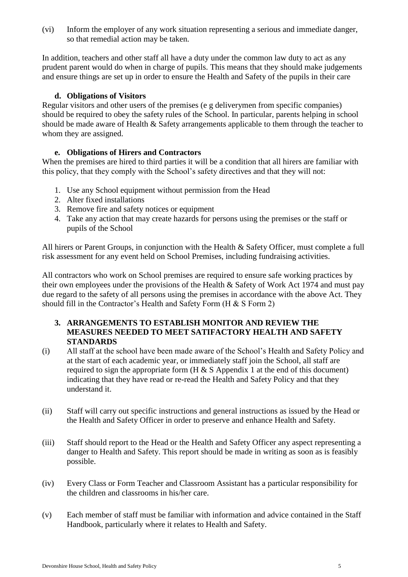(vi) Inform the employer of any work situation representing a serious and immediate danger, so that remedial action may be taken.

In addition, teachers and other staff all have a duty under the common law duty to act as any prudent parent would do when in charge of pupils. This means that they should make judgements and ensure things are set up in order to ensure the Health and Safety of the pupils in their care

#### **d. Obligations of Visitors**

<span id="page-4-0"></span>Regular visitors and other users of the premises (e g deliverymen from specific companies) should be required to obey the safety rules of the School. In particular, parents helping in school should be made aware of Health & Safety arrangements applicable to them through the teacher to whom they are assigned.

# **e. Obligations of Hirers and Contractors**

<span id="page-4-1"></span>When the premises are hired to third parties it will be a condition that all hirers are familiar with this policy, that they comply with the School's safety directives and that they will not:

- 1. Use any School equipment without permission from the Head
- 2. Alter fixed installations
- 3. Remove fire and safety notices or equipment
- 4. Take any action that may create hazards for persons using the premises or the staff or pupils of the School

All hirers or Parent Groups, in conjunction with the Health & Safety Officer, must complete a full risk assessment for any event held on School Premises, including fundraising activities.

All contractors who work on School premises are required to ensure safe working practices by their own employees under the provisions of the Health & Safety of Work Act 1974 and must pay due regard to the safety of all persons using the premises in accordance with the above Act. They should fill in the Contractor's Health and Safety Form (H & S Form 2)

### **3. ARRANGEMENTS TO ESTABLISH MONITOR AND REVIEW THE MEASURES NEEDED TO MEET SATIFACTORY HEALTH AND SAFETY STANDARDS**

- (i) All staff at the school have been made aware of the School's Health and Safety Policy and at the start of each academic year, or immediately staff join the School, all staff are required to sign the appropriate form  $(H & S$  Appendix 1 at the end of this document) indicating that they have read or re-read the Health and Safety Policy and that they understand it.
- (ii) Staff will carry out specific instructions and general instructions as issued by the Head or the Health and Safety Officer in order to preserve and enhance Health and Safety.
- (iii) Staff should report to the Head or the Health and Safety Officer any aspect representing a danger to Health and Safety. This report should be made in writing as soon as is feasibly possible.
- (iv) Every Class or Form Teacher and Classroom Assistant has a particular responsibility for the children and classrooms in his/her care.
- (v) Each member of staff must be familiar with information and advice contained in the Staff Handbook, particularly where it relates to Health and Safety.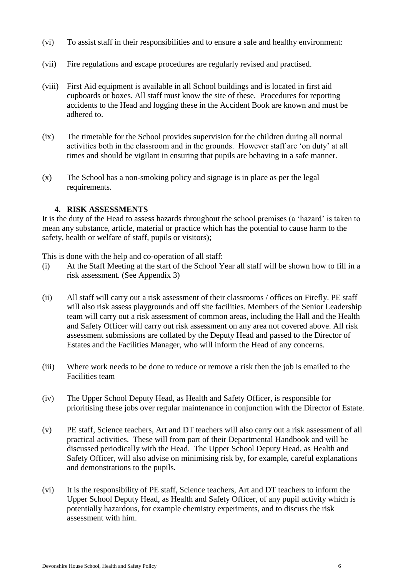- (vi) To assist staff in their responsibilities and to ensure a safe and healthy environment:
- (vii) Fire regulations and escape procedures are regularly revised and practised.
- (viii) First Aid equipment is available in all School buildings and is located in first aid cupboards or boxes. All staff must know the site of these. Procedures for reporting accidents to the Head and logging these in the Accident Book are known and must be adhered to.
- (ix) The timetable for the School provides supervision for the children during all normal activities both in the classroom and in the grounds. However staff are 'on duty' at all times and should be vigilant in ensuring that pupils are behaving in a safe manner.
- (x) The School has a non-smoking policy and signage is in place as per the legal requirements.

#### **4. RISK ASSESSMENTS**

<span id="page-5-0"></span>It is the duty of the Head to assess hazards throughout the school premises (a 'hazard' is taken to mean any substance, article, material or practice which has the potential to cause harm to the safety, health or welfare of staff, pupils or visitors);

This is done with the help and co-operation of all staff:

- (i) At the Staff Meeting at the start of the School Year all staff will be shown how to fill in a risk assessment. (See Appendix 3)
- (ii) All staff will carry out a risk assessment of their classrooms / offices on Firefly. PE staff will also risk assess playgrounds and off site facilities. Members of the Senior Leadership team will carry out a risk assessment of common areas, including the Hall and the Health and Safety Officer will carry out risk assessment on any area not covered above. All risk assessment submissions are collated by the Deputy Head and passed to the Director of Estates and the Facilities Manager, who will inform the Head of any concerns.
- (iii) Where work needs to be done to reduce or remove a risk then the job is emailed to the Facilities team
- (iv) The Upper School Deputy Head, as Health and Safety Officer, is responsible for prioritising these jobs over regular maintenance in conjunction with the Director of Estate.
- (v) PE staff, Science teachers, Art and DT teachers will also carry out a risk assessment of all practical activities. These will from part of their Departmental Handbook and will be discussed periodically with the Head. The Upper School Deputy Head, as Health and Safety Officer, will also advise on minimising risk by, for example, careful explanations and demonstrations to the pupils.
- (vi) It is the responsibility of PE staff, Science teachers, Art and DT teachers to inform the Upper School Deputy Head, as Health and Safety Officer, of any pupil activity which is potentially hazardous, for example chemistry experiments, and to discuss the risk assessment with him.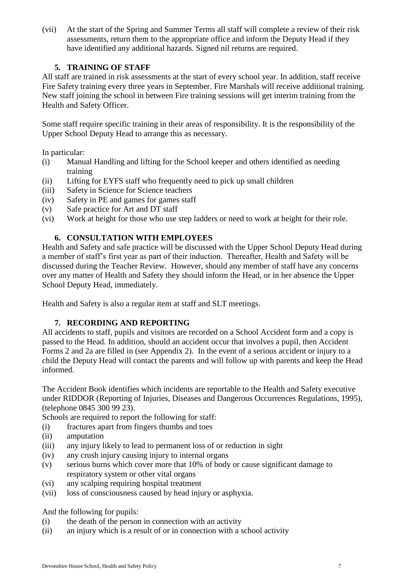(vii) At the start of the Spring and Summer Terms all staff will complete a review of their risk assessments, return them to the appropriate office and inform the Deputy Head if they have identified any additional hazards. Signed nil returns are required.

# **5. TRAINING OF STAFF**

<span id="page-6-0"></span>All staff are trained in risk assessments at the start of every school year. In addition, staff receive Fire Safety training every three years in September. Fire Marshals will receive additional training. New staff joining the school in between Fire training sessions will get interim training from the Health and Safety Officer.

Some staff require specific training in their areas of responsibility. It is the responsibility of the Upper School Deputy Head to arrange this as necessary.

In particular:

- (i) Manual Handling and lifting for the School keeper and others identified as needing training
- (ii) Lifting for EYFS staff who frequently need to pick up small children
- (iii) Safety in Science for Science teachers
- (iv) Safety in PE and games for games staff
- (v) Safe practice for Art and DT staff
- (vi) Work at height for those who use step ladders or need to work at height for their role.

# **6. CONSULTATION WITH EMPLOYEES**

<span id="page-6-1"></span>Health and Safety and safe practice will be discussed with the Upper School Deputy Head during a member of staff's first year as part of their induction. Thereafter, Health and Safety will be discussed during the Teacher Review. However, should any member of staff have any concerns over any matter of Health and Safety they should inform the Head, or in her absence the Upper School Deputy Head, immediately.

Health and Safety is also a regular item at staff and SLT meetings.

# **7. RECORDING AND REPORTING**

<span id="page-6-2"></span>All accidents to staff, pupils and visitors are recorded on a School Accident form and a copy is passed to the Head. In addition, should an accident occur that involves a pupil, then Accident Forms 2 and 2a are filled in (see Appendix 2). In the event of a serious accident or injury to a child the Deputy Head will contact the parents and will follow up with parents and keep the Head informed.

The Accident Book identifies which incidents are reportable to the Health and Safety executive under RIDDOR (Reporting of Injuries, Diseases and Dangerous Occurrences Regulations, 1995), (telephone 0845 300 99 23).

Schools are required to report the following for staff:

- (i) fractures apart from fingers thumbs and toes
- (ii) amputation
- (iii) any injury likely to lead to permanent loss of or reduction in sight
- (iv) any crush injury causing injury to internal organs
- (v) serious burns which cover more that 10% of body or cause significant damage to respiratory system or other vital organs
- (vi) any scalping requiring hospital treatment
- (vii) loss of consciousness caused by head injury or asphyxia.

And the following for pupils:

- (i) the death of the person in connection with an activity
- (ii) an injury which is a result of or in connection with a school activity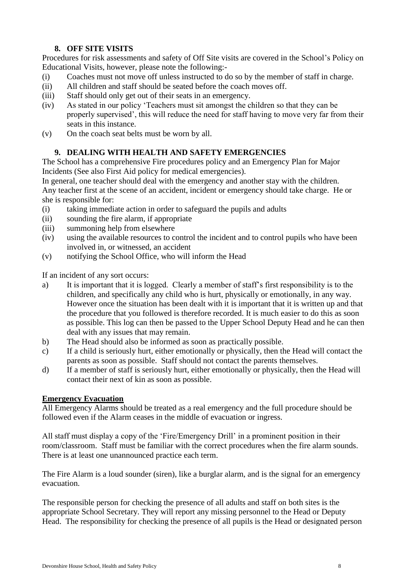# **8. OFF SITE VISITS**

<span id="page-7-0"></span>Procedures for risk assessments and safety of Off Site visits are covered in the School's Policy on Educational Visits, however, please note the following:-

- (i) Coaches must not move off unless instructed to do so by the member of staff in charge.
- (ii) All children and staff should be seated before the coach moves off.
- (iii) Staff should only get out of their seats in an emergency.
- (iv) As stated in our policy 'Teachers must sit amongst the children so that they can be properly supervised', this will reduce the need for staff having to move very far from their seats in this instance.
- (v) On the coach seat belts must be worn by all.

# **9. DEALING WITH HEALTH AND SAFETY EMERGENCIES**

<span id="page-7-1"></span>The School has a comprehensive Fire procedures policy and an Emergency Plan for Major Incidents (See also First Aid policy for medical emergencies).

In general, one teacher should deal with the emergency and another stay with the children. Any teacher first at the scene of an accident, incident or emergency should take charge. He or she is responsible for:

- (i) taking immediate action in order to safeguard the pupils and adults
- (ii) sounding the fire alarm, if appropriate
- (iii) summoning help from elsewhere
- (iv) using the available resources to control the incident and to control pupils who have been involved in, or witnessed, an accident
- (v) notifying the School Office, who will inform the Head

If an incident of any sort occurs:

- a) It is important that it is logged. Clearly a member of staff's first responsibility is to the children, and specifically any child who is hurt, physically or emotionally, in any way. However once the situation has been dealt with it is important that it is written up and that the procedure that you followed is therefore recorded. It is much easier to do this as soon as possible. This log can then be passed to the Upper School Deputy Head and he can then deal with any issues that may remain.
- b) The Head should also be informed as soon as practically possible.
- c) If a child is seriously hurt, either emotionally or physically, then the Head will contact the parents as soon as possible. Staff should not contact the parents themselves.
- d) If a member of staff is seriously hurt, either emotionally or physically, then the Head will contact their next of kin as soon as possible.

#### **Emergency Evacuation**

All Emergency Alarms should be treated as a real emergency and the full procedure should be followed even if the Alarm ceases in the middle of evacuation or ingress.

All staff must display a copy of the 'Fire/Emergency Drill' in a prominent position in their room/classroom. Staff must be familiar with the correct procedures when the fire alarm sounds. There is at least one unannounced practice each term.

The Fire Alarm is a loud sounder (siren), like a burglar alarm, and is the signal for an emergency evacuation.

The responsible person for checking the presence of all adults and staff on both sites is the appropriate School Secretary. They will report any missing personnel to the Head or Deputy Head. The responsibility for checking the presence of all pupils is the Head or designated person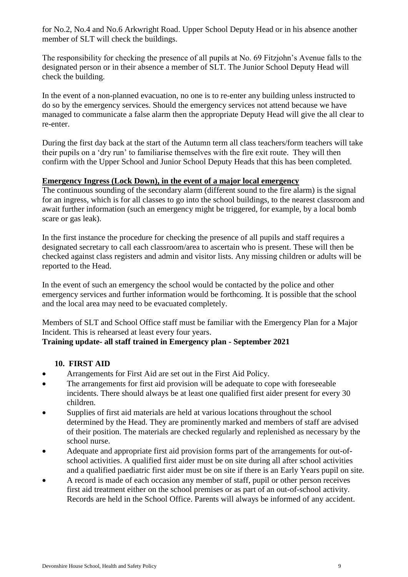for No.2, No.4 and No.6 Arkwright Road. Upper School Deputy Head or in his absence another member of SLT will check the buildings.

The responsibility for checking the presence of all pupils at No. 69 Fitzjohn's Avenue falls to the designated person or in their absence a member of SLT. The Junior School Deputy Head will check the building.

In the event of a non-planned evacuation, no one is to re-enter any building unless instructed to do so by the emergency services. Should the emergency services not attend because we have managed to communicate a false alarm then the appropriate Deputy Head will give the all clear to re-enter.

During the first day back at the start of the Autumn term all class teachers/form teachers will take their pupils on a 'dry run' to familiarise themselves with the fire exit route. They will then confirm with the Upper School and Junior School Deputy Heads that this has been completed.

# **Emergency Ingress (Lock Down), in the event of a major local emergency**

The continuous sounding of the secondary alarm (different sound to the fire alarm) is the signal for an ingress, which is for all classes to go into the school buildings, to the nearest classroom and await further information (such an emergency might be triggered, for example, by a local bomb scare or gas leak).

In the first instance the procedure for checking the presence of all pupils and staff requires a designated secretary to call each classroom/area to ascertain who is present. These will then be checked against class registers and admin and visitor lists. Any missing children or adults will be reported to the Head.

In the event of such an emergency the school would be contacted by the police and other emergency services and further information would be forthcoming. It is possible that the school and the local area may need to be evacuated completely.

Members of SLT and School Office staff must be familiar with the Emergency Plan for a Major Incident. This is rehearsed at least every four years.

# **Training update- all staff trained in Emergency plan - September 2021**

# **10. FIRST AID**

- <span id="page-8-0"></span>Arrangements for First Aid are set out in the First Aid Policy.
- The arrangements for first aid provision will be adequate to cope with foreseeable incidents. There should always be at least one qualified first aider present for every 30 children.
- Supplies of first aid materials are held at various locations throughout the school determined by the Head. They are prominently marked and members of staff are advised of their position. The materials are checked regularly and replenished as necessary by the school nurse.
- Adequate and appropriate first aid provision forms part of the arrangements for out-ofschool activities. A qualified first aider must be on site during all after school activities and a qualified paediatric first aider must be on site if there is an Early Years pupil on site.
- A record is made of each occasion any member of staff, pupil or other person receives first aid treatment either on the school premises or as part of an out-of-school activity. Records are held in the School Office. Parents will always be informed of any accident.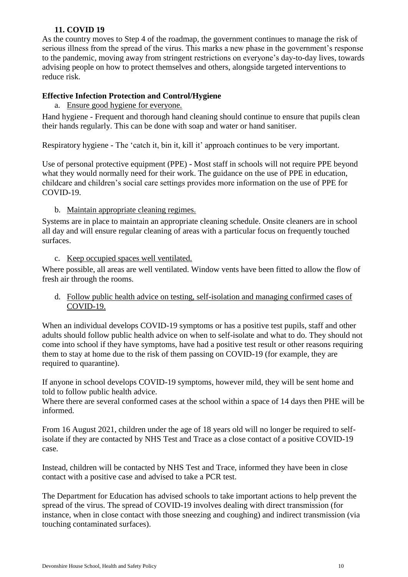### **11. COVID 19**

<span id="page-9-0"></span>As the country moves to Step 4 of the roadmap, the government continues to manage the risk of serious illness from the spread of the virus. This marks a new phase in the government's response to the pandemic, moving away from stringent restrictions on everyone's day-to-day lives, towards advising people on how to protect themselves and others, alongside targeted interventions to reduce risk.

#### <span id="page-9-1"></span>**Effective Infection Protection and Control/Hygiene**

<span id="page-9-2"></span>a. Ensure good hygiene for everyone.

Hand hygiene - Frequent and thorough hand cleaning should continue to ensure that pupils clean their hands regularly. This can be done with soap and water or hand sanitiser.

Respiratory hygiene - The 'catch it, bin it, kill it' approach continues to be very important.

Use of personal protective equipment (PPE) - Most staff in schools will not require PPE beyond what they would normally need for their work. The guidance on the use of PPE in education, childcare and children's social care settings provides more information on the use of PPE for COVID-19.

#### <span id="page-9-3"></span>b. Maintain appropriate cleaning regimes.

Systems are in place to maintain an appropriate cleaning schedule. Onsite cleaners are in school all day and will ensure regular cleaning of areas with a particular focus on frequently touched surfaces.

#### <span id="page-9-4"></span>c. Keep occupied spaces well ventilated.

Where possible, all areas are well ventilated. Window vents have been fitted to allow the flow of fresh air through the rooms.

#### <span id="page-9-5"></span>d. Follow public health advice on testing, self-isolation and managing confirmed cases of COVID-19.

When an individual develops COVID-19 symptoms or has a positive test pupils, staff and other adults should follow public health advice on when to self-isolate and what to do. They should not come into school if they have symptoms, have had a positive test result or other reasons requiring them to stay at home due to the risk of them passing on COVID-19 (for example, they are required to quarantine).

If anyone in school develops COVID-19 symptoms, however mild, they will be sent home and told to follow public health advice.

Where there are several conformed cases at the school within a space of 14 days then PHE will be informed.

From 16 August 2021, children under the age of 18 years old will no longer be required to selfisolate if they are contacted by NHS Test and Trace as a close contact of a positive COVID-19 case.

Instead, children will be contacted by NHS Test and Trace, informed they have been in close contact with a positive case and advised to take a PCR test.

The Department for Education has advised schools to take important actions to help prevent the spread of the virus. The spread of COVID-19 involves dealing with direct transmission (for instance, when in close contact with those sneezing and coughing) and indirect transmission (via touching contaminated surfaces).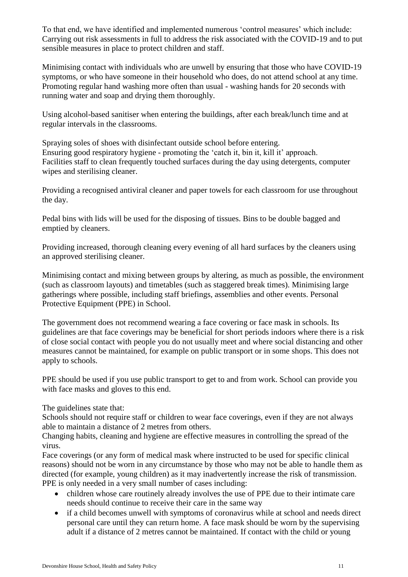To that end, we have identified and implemented numerous 'control measures' which include: Carrying out risk assessments in full to address the risk associated with the COVID-19 and to put sensible measures in place to protect children and staff.

Minimising contact with individuals who are unwell by ensuring that those who have COVID-19 symptoms, or who have someone in their household who does, do not attend school at any time. Promoting regular hand washing more often than usual - washing hands for 20 seconds with running water and soap and drying them thoroughly.

Using alcohol-based sanitiser when entering the buildings, after each break/lunch time and at regular intervals in the classrooms.

Spraying soles of shoes with disinfectant outside school before entering. Ensuring good respiratory hygiene - promoting the 'catch it, bin it, kill it' approach. Facilities staff to clean frequently touched surfaces during the day using detergents, computer wipes and sterilising cleaner.

Providing a recognised antiviral cleaner and paper towels for each classroom for use throughout the day.

Pedal bins with lids will be used for the disposing of tissues. Bins to be double bagged and emptied by cleaners.

Providing increased, thorough cleaning every evening of all hard surfaces by the cleaners using an approved sterilising cleaner.

Minimising contact and mixing between groups by altering, as much as possible, the environment (such as classroom layouts) and timetables (such as staggered break times). Minimising large gatherings where possible, including staff briefings, assemblies and other events. Personal Protective Equipment (PPE) in School.

The government does not recommend wearing a face covering or face mask in schools. Its guidelines are that face coverings may be beneficial for short periods indoors where there is a risk of close social contact with people you do not usually meet and where social distancing and other measures cannot be maintained, for example on public transport or in some shops. This does not apply to schools.

PPE should be used if you use public transport to get to and from work. School can provide you with face masks and gloves to this end.

The guidelines state that:

Schools should not require staff or children to wear face coverings, even if they are not always able to maintain a distance of 2 metres from others.

Changing habits, cleaning and hygiene are effective measures in controlling the spread of the virus.

Face coverings (or any form of medical mask where instructed to be used for specific clinical reasons) should not be worn in any circumstance by those who may not be able to handle them as directed (for example, young children) as it may inadvertently increase the risk of transmission. PPE is only needed in a very small number of cases including:

- children whose care routinely already involves the use of PPE due to their intimate care needs should continue to receive their care in the same way
- if a child becomes unwell with symptoms of coronavirus while at school and needs direct personal care until they can return home. A face mask should be worn by the supervising adult if a distance of 2 metres cannot be maintained. If contact with the child or young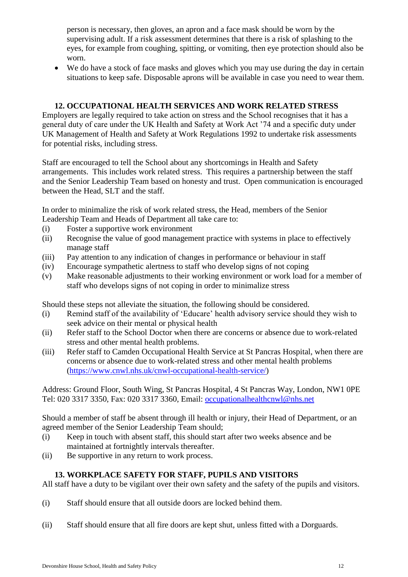person is necessary, then gloves, an apron and a face mask should be worn by the supervising adult. If a risk assessment determines that there is a risk of splashing to the eyes, for example from coughing, spitting, or vomiting, then eye protection should also be worn.

 We do have a stock of face masks and gloves which you may use during the day in certain situations to keep safe. Disposable aprons will be available in case you need to wear them.

# **12. OCCUPATIONAL HEALTH SERVICES AND WORK RELATED STRESS**

<span id="page-11-0"></span>Employers are legally required to take action on stress and the School recognises that it has a general duty of care under the UK Health and Safety at Work Act '74 and a specific duty under UK Management of Health and Safety at Work Regulations 1992 to undertake risk assessments for potential risks, including stress.

Staff are encouraged to tell the School about any shortcomings in Health and Safety arrangements. This includes work related stress. This requires a partnership between the staff and the Senior Leadership Team based on honesty and trust. Open communication is encouraged between the Head, SLT and the staff.

In order to minimalize the risk of work related stress, the Head, members of the Senior Leadership Team and Heads of Department all take care to:

- (i) Foster a supportive work environment
- (ii) Recognise the value of good management practice with systems in place to effectively manage staff
- (iii) Pay attention to any indication of changes in performance or behaviour in staff
- (iv) Encourage sympathetic alertness to staff who develop signs of not coping
- (v) Make reasonable adjustments to their working environment or work load for a member of staff who develops signs of not coping in order to minimalize stress

Should these steps not alleviate the situation, the following should be considered.

- (i) Remind staff of the availability of 'Educare' health advisory service should they wish to seek advice on their mental or physical health
- (ii) Refer staff to the School Doctor when there are concerns or absence due to work-related stress and other mental health problems.
- (iii) Refer staff to Camden Occupational Health Service at St Pancras Hospital, when there are concerns or absence due to work-related stress and other mental health problems [\(https://www.cnwl.nhs.uk/cnwl-occupational-health-service/\)](https://www.cnwl.nhs.uk/cnwl-occupational-health-service/)

Address: Ground Floor, South Wing, St Pancras Hospital, 4 St Pancras Way, London, NW1 0PE Tel: 020 3317 3350, Fax: 020 3317 3360, Email: [occupationalhealthcnwl@nhs.net](mailto:occupationalhealthcnwl@nhs.net)

Should a member of staff be absent through ill health or injury, their Head of Department, or an agreed member of the Senior Leadership Team should;

- (i) Keep in touch with absent staff, this should start after two weeks absence and be maintained at fortnightly intervals thereafter.
- (ii) Be supportive in any return to work process.

# **13. WORKPLACE SAFETY FOR STAFF, PUPILS AND VISITORS**

<span id="page-11-1"></span>All staff have a duty to be vigilant over their own safety and the safety of the pupils and visitors.

- (i) Staff should ensure that all outside doors are locked behind them.
- (ii) Staff should ensure that all fire doors are kept shut, unless fitted with a Dorguards.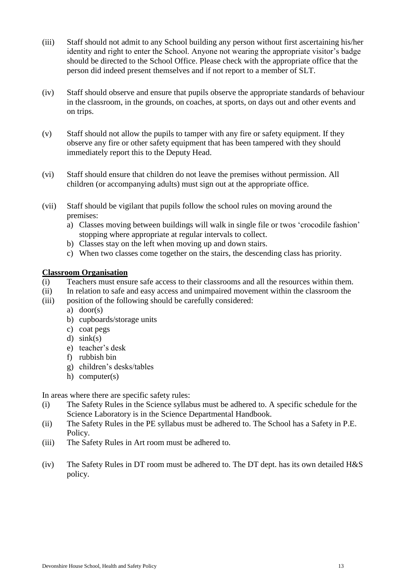- (iii) Staff should not admit to any School building any person without first ascertaining his/her identity and right to enter the School. Anyone not wearing the appropriate visitor's badge should be directed to the School Office. Please check with the appropriate office that the person did indeed present themselves and if not report to a member of SLT.
- (iv) Staff should observe and ensure that pupils observe the appropriate standards of behaviour in the classroom, in the grounds, on coaches, at sports, on days out and other events and on trips.
- (v) Staff should not allow the pupils to tamper with any fire or safety equipment. If they observe any fire or other safety equipment that has been tampered with they should immediately report this to the Deputy Head.
- (vi) Staff should ensure that children do not leave the premises without permission. All children (or accompanying adults) must sign out at the appropriate office.
- (vii) Staff should be vigilant that pupils follow the school rules on moving around the premises:
	- a) Classes moving between buildings will walk in single file or twos 'crocodile fashion' stopping where appropriate at regular intervals to collect.
	- b) Classes stay on the left when moving up and down stairs.
	- c) When two classes come together on the stairs, the descending class has priority.

#### **Classroom Organisation**

- (i) Teachers must ensure safe access to their classrooms and all the resources within them.
- (ii) In relation to safe and easy access and unimpaired movement within the classroom the
- (iii) position of the following should be carefully considered:
	- a) door(s)
	- b) cupboards/storage units
	- c) coat pegs
	- d)  $sink(s)$
	- e) teacher's desk
	- f) rubbish bin
	- g) children's desks/tables
	- h) computer(s)

In areas where there are specific safety rules:

- (i) The Safety Rules in the Science syllabus must be adhered to. A specific schedule for the Science Laboratory is in the Science Departmental Handbook.
- (ii) The Safety Rules in the PE syllabus must be adhered to. The School has a Safety in P.E. Policy.
- (iii) The Safety Rules in Art room must be adhered to.
- (iv) The Safety Rules in DT room must be adhered to. The DT dept. has its own detailed H&S policy.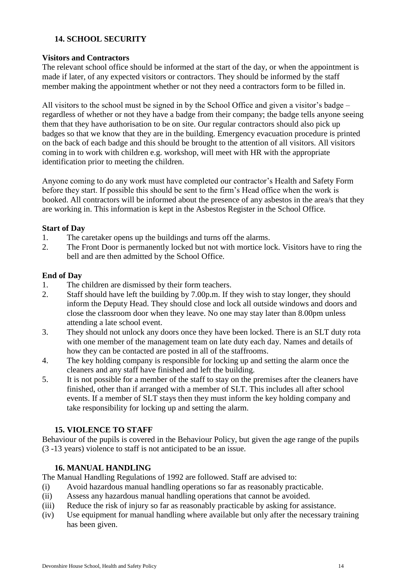# <span id="page-13-0"></span>**14. SCHOOL SECURITY**

#### <span id="page-13-1"></span>**Visitors and Contractors**

The relevant school office should be informed at the start of the day, or when the appointment is made if later, of any expected visitors or contractors. They should be informed by the staff member making the appointment whether or not they need a contractors form to be filled in.

All visitors to the school must be signed in by the School Office and given a visitor's badge – regardless of whether or not they have a badge from their company; the badge tells anyone seeing them that they have authorisation to be on site. Our regular contractors should also pick up badges so that we know that they are in the building. Emergency evacuation procedure is printed on the back of each badge and this should be brought to the attention of all visitors. All visitors coming in to work with children e.g. workshop, will meet with HR with the appropriate identification prior to meeting the children.

Anyone coming to do any work must have completed our contractor's Health and Safety Form before they start. If possible this should be sent to the firm's Head office when the work is booked. All contractors will be informed about the presence of any asbestos in the area/s that they are working in. This information is kept in the Asbestos Register in the School Office.

#### <span id="page-13-2"></span>**Start of Day**

- 1. The caretaker opens up the buildings and turns off the alarms.
- 2. The Front Door is permanently locked but not with mortice lock. Visitors have to ring the bell and are then admitted by the School Office.

#### <span id="page-13-3"></span>**End of Day**

- 1. The children are dismissed by their form teachers.
- 2. Staff should have left the building by 7.00p.m. If they wish to stay longer, they should inform the Deputy Head. They should close and lock all outside windows and doors and close the classroom door when they leave. No one may stay later than 8.00pm unless attending a late school event.
- 3. They should not unlock any doors once they have been locked. There is an SLT duty rota with one member of the management team on late duty each day. Names and details of how they can be contacted are posted in all of the staffrooms.
- 4. The key holding company is responsible for locking up and setting the alarm once the cleaners and any staff have finished and left the building.
- 5. It is not possible for a member of the staff to stay on the premises after the cleaners have finished, other than if arranged with a member of SLT. This includes all after school events. If a member of SLT stays then they must inform the key holding company and take responsibility for locking up and setting the alarm.

# **15. VIOLENCE TO STAFF**

<span id="page-13-4"></span>Behaviour of the pupils is covered in the Behaviour Policy, but given the age range of the pupils (3 -13 years) violence to staff is not anticipated to be an issue.

# **16. MANUAL HANDLING**

<span id="page-13-5"></span>The Manual Handling Regulations of 1992 are followed. Staff are advised to:

- (i) Avoid hazardous manual handling operations so far as reasonably practicable.
- (ii) Assess any hazardous manual handling operations that cannot be avoided.
- (iii) Reduce the risk of injury so far as reasonably practicable by asking for assistance.
- (iv) Use equipment for manual handling where available but only after the necessary training has been given.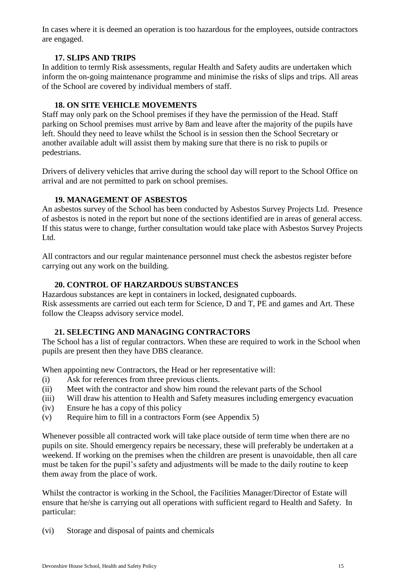In cases where it is deemed an operation is too hazardous for the employees, outside contractors are engaged.

# **17. SLIPS AND TRIPS**

<span id="page-14-0"></span>In addition to termly Risk assessments, regular Health and Safety audits are undertaken which inform the on-going maintenance programme and minimise the risks of slips and trips. All areas of the School are covered by individual members of staff.

# **18. ON SITE VEHICLE MOVEMENTS**

<span id="page-14-1"></span>Staff may only park on the School premises if they have the permission of the Head. Staff parking on School premises must arrive by 8am and leave after the majority of the pupils have left. Should they need to leave whilst the School is in session then the School Secretary or another available adult will assist them by making sure that there is no risk to pupils or pedestrians.

Drivers of delivery vehicles that arrive during the school day will report to the School Office on arrival and are not permitted to park on school premises.

# **19. MANAGEMENT OF ASBESTOS**

<span id="page-14-2"></span>An asbestos survey of the School has been conducted by Asbestos Survey Projects Ltd. Presence of asbestos is noted in the report but none of the sections identified are in areas of general access. If this status were to change, further consultation would take place with Asbestos Survey Projects Ltd.

All contractors and our regular maintenance personnel must check the asbestos register before carrying out any work on the building.

# **20. CONTROL OF HARZARDOUS SUBSTANCES**

<span id="page-14-3"></span>Hazardous substances are kept in containers in locked, designated cupboards. Risk assessments are carried out each term for Science, D and T, PE and games and Art. These follow the Cleapss advisory service model.

# **21. SELECTING AND MANAGING CONTRACTORS**

<span id="page-14-4"></span>The School has a list of regular contractors. When these are required to work in the School when pupils are present then they have DBS clearance.

When appointing new Contractors, the Head or her representative will:

- (i) Ask for references from three previous clients.
- (ii) Meet with the contractor and show him round the relevant parts of the School
- (iii) Will draw his attention to Health and Safety measures including emergency evacuation
- (iv) Ensure he has a copy of this policy
- (v) Require him to fill in a contractors Form (see Appendix 5)

Whenever possible all contracted work will take place outside of term time when there are no pupils on site. Should emergency repairs be necessary, these will preferably be undertaken at a weekend. If working on the premises when the children are present is unavoidable, then all care must be taken for the pupil's safety and adjustments will be made to the daily routine to keep them away from the place of work.

Whilst the contractor is working in the School, the Facilities Manager/Director of Estate will ensure that he/she is carrying out all operations with sufficient regard to Health and Safety. In particular:

(vi) Storage and disposal of paints and chemicals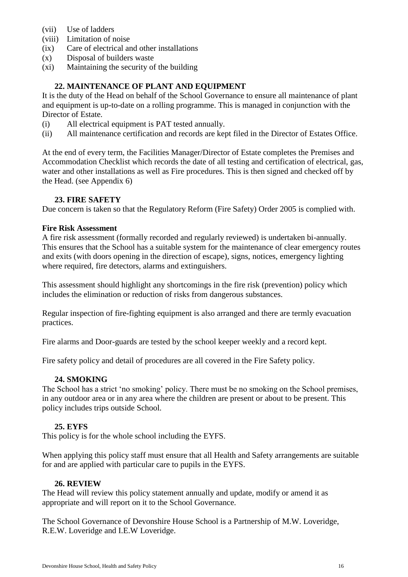- (vii) Use of ladders
- (viii) Limitation of noise
- (ix) Care of electrical and other installations
- (x) Disposal of builders waste
- (xi) Maintaining the security of the building

### **22. MAINTENANCE OF PLANT AND EQUIPMENT**

<span id="page-15-0"></span>It is the duty of the Head on behalf of the School Governance to ensure all maintenance of plant and equipment is up-to-date on a rolling programme. This is managed in conjunction with the Director of Estate.

- (i) All electrical equipment is PAT tested annually.
- (ii) All maintenance certification and records are kept filed in the Director of Estates Office.

At the end of every term, the Facilities Manager/Director of Estate completes the Premises and Accommodation Checklist which records the date of all testing and certification of electrical, gas, water and other installations as well as Fire procedures. This is then signed and checked off by the Head. (see Appendix 6)

#### **23. FIRE SAFETY**

<span id="page-15-1"></span>Due concern is taken so that the Regulatory Reform (Fire Safety) Order 2005 is complied with.

#### <span id="page-15-2"></span>**Fire Risk Assessment**

A fire risk assessment (formally recorded and regularly reviewed) is undertaken bi-annually. This ensures that the School has a suitable system for the maintenance of clear emergency routes and exits (with doors opening in the direction of escape), signs, notices, emergency lighting where required, fire detectors, alarms and extinguishers.

This assessment should highlight any shortcomings in the fire risk (prevention) policy which includes the elimination or reduction of risks from dangerous substances.

Regular inspection of fire-fighting equipment is also arranged and there are termly evacuation practices.

Fire alarms and Door-guards are tested by the school keeper weekly and a record kept.

Fire safety policy and detail of procedures are all covered in the Fire Safety policy.

# **24. SMOKING**

<span id="page-15-3"></span>The School has a strict 'no smoking' policy. There must be no smoking on the School premises, in any outdoor area or in any area where the children are present or about to be present. This policy includes trips outside School.

# **25. EYFS**

<span id="page-15-4"></span>This policy is for the whole school including the EYFS.

When applying this policy staff must ensure that all Health and Safety arrangements are suitable for and are applied with particular care to pupils in the EYFS.

#### **26. REVIEW**

<span id="page-15-5"></span>The Head will review this policy statement annually and update, modify or amend it as appropriate and will report on it to the School Governance.

The School Governance of Devonshire House School is a Partnership of M.W. Loveridge, R.E.W. Loveridge and I.E.W Loveridge.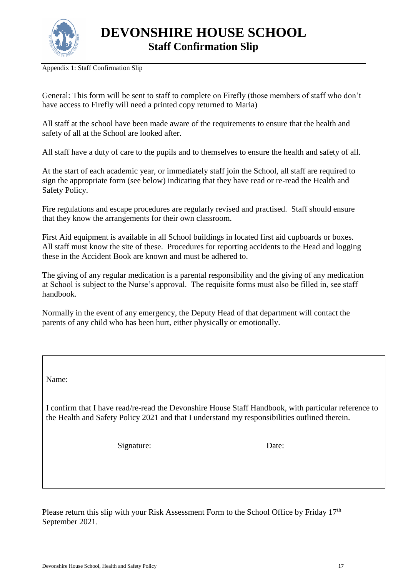

Appendix 1: Staff Confirmation Slip

General: This form will be sent to staff to complete on Firefly (those members of staff who don't have access to Firefly will need a printed copy returned to Maria)

All staff at the school have been made aware of the requirements to ensure that the health and safety of all at the School are looked after.

All staff have a duty of care to the pupils and to themselves to ensure the health and safety of all.

At the start of each academic year, or immediately staff join the School, all staff are required to sign the appropriate form (see below) indicating that they have read or re-read the Health and Safety Policy.

Fire regulations and escape procedures are regularly revised and practised. Staff should ensure that they know the arrangements for their own classroom.

First Aid equipment is available in all School buildings in located first aid cupboards or boxes. All staff must know the site of these. Procedures for reporting accidents to the Head and logging these in the Accident Book are known and must be adhered to.

The giving of any regular medication is a parental responsibility and the giving of any medication at School is subject to the Nurse's approval. The requisite forms must also be filled in, see staff handbook.

Normally in the event of any emergency, the Deputy Head of that department will contact the parents of any child who has been hurt, either physically or emotionally.

Name:

I confirm that I have read/re-read the Devonshire House Staff Handbook, with particular reference to the Health and Safety Policy 2021 and that I understand my responsibilities outlined therein.

Signature: Date:

Please return this slip with your Risk Assessment Form to the School Office by Friday 17<sup>th</sup> September 2021.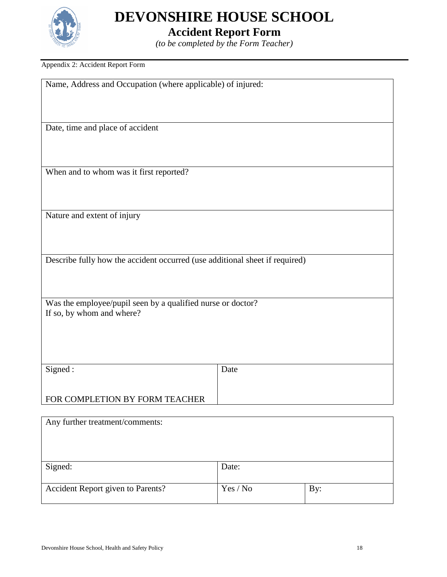

# **Accident Report Form**

*(to be completed by the Form Teacher)*

#### Appendix 2: Accident Report Form

| Name, Address and Occupation (where applicable) of injured:                 |  |
|-----------------------------------------------------------------------------|--|
|                                                                             |  |
|                                                                             |  |
| Date, time and place of accident                                            |  |
|                                                                             |  |
|                                                                             |  |
| When and to whom was it first reported?                                     |  |
|                                                                             |  |
|                                                                             |  |
| Nature and extent of injury                                                 |  |
|                                                                             |  |
| Describe fully how the accident occurred (use additional sheet if required) |  |
|                                                                             |  |
|                                                                             |  |
| Was the employee/pupil seen by a qualified nurse or doctor?                 |  |
| If so, by whom and where?                                                   |  |
|                                                                             |  |
|                                                                             |  |
| Signed:<br>Date                                                             |  |
|                                                                             |  |
| FOR COMPLETION BY FORM TEACHER                                              |  |
|                                                                             |  |
| Any further treatment/comments:                                             |  |
|                                                                             |  |

| Signed:                           | Date:    |     |
|-----------------------------------|----------|-----|
|                                   |          |     |
|                                   |          |     |
|                                   |          |     |
| Accident Report given to Parents? | Yes / No | Bv: |
|                                   |          |     |
|                                   |          |     |
|                                   |          |     |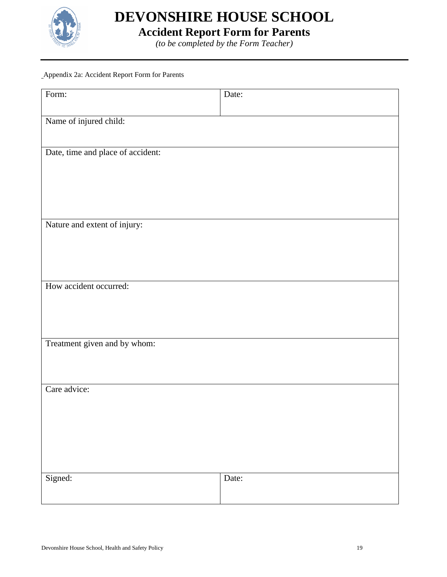

**Accident Report Form for Parents**

*(to be completed by the Form Teacher)*

#### Appendix 2a: Accident Report Form for Parents

| Form:                             | Date: |
|-----------------------------------|-------|
| Name of injured child:            |       |
|                                   |       |
| Date, time and place of accident: |       |
|                                   |       |
|                                   |       |
|                                   |       |
| Nature and extent of injury:      |       |
|                                   |       |
|                                   |       |
| How accident occurred:            |       |
|                                   |       |
|                                   |       |
| Treatment given and by whom:      |       |
|                                   |       |
| Care advice:                      |       |
|                                   |       |
|                                   |       |
|                                   |       |
|                                   |       |
| Signed:                           | Date: |
|                                   |       |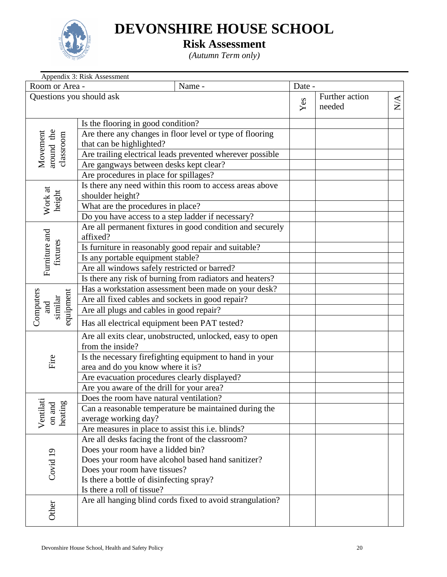

# **Risk Assessment**

*(Autumn Term only)*

| Room or Area -<br>Questions you should ask | Name -                                                                                       | Date - |                          |               |
|--------------------------------------------|----------------------------------------------------------------------------------------------|--------|--------------------------|---------------|
|                                            |                                                                                              |        |                          |               |
|                                            |                                                                                              | Yes    | Further action<br>needed | $\frac{A}{N}$ |
|                                            | Is the flooring in good condition?                                                           |        |                          |               |
| around the<br>Movement<br>classroom        | Are there any changes in floor level or type of flooring<br>that can be highlighted?         |        |                          |               |
|                                            | Are trailing electrical leads prevented wherever possible                                    |        |                          |               |
|                                            | Are gangways between desks kept clear?                                                       |        |                          |               |
|                                            | Are procedures in place for spillages?                                                       |        |                          |               |
| Work at<br>height                          | Is there any need within this room to access areas above<br>shoulder height?                 |        |                          |               |
|                                            | What are the procedures in place?                                                            |        |                          |               |
|                                            | Do you have access to a step ladder if necessary?                                            |        |                          |               |
| Furniture and                              | Are all permanent fixtures in good condition and securely<br>affixed?                        |        |                          |               |
| fixtures                                   | Is furniture in reasonably good repair and suitable?                                         |        |                          |               |
|                                            | Is any portable equipment stable?                                                            |        |                          |               |
|                                            | Are all windows safely restricted or barred?                                                 |        |                          |               |
|                                            | Is there any risk of burning from radiators and heaters?                                     |        |                          |               |
|                                            | Has a workstation assessment been made on your desk?                                         |        |                          |               |
|                                            | Are all fixed cables and sockets in good repair?                                             |        |                          |               |
| Computers<br>equipment<br>similar<br>and   | Are all plugs and cables in good repair?                                                     |        |                          |               |
|                                            | Has all electrical equipment been PAT tested?                                                |        |                          |               |
|                                            | Are all exits clear, unobstructed, unlocked, easy to open                                    |        |                          |               |
|                                            | from the inside?                                                                             |        |                          |               |
| Fire                                       | Is the necessary firefighting equipment to hand in your<br>area and do you know where it is? |        |                          |               |
|                                            | Are evacuation procedures clearly displayed?                                                 |        |                          |               |
|                                            | Are you aware of the drill for your area?                                                    |        |                          |               |
|                                            | Does the room have natural ventilation?                                                      |        |                          |               |
| Ventilati<br>on and<br>heating             | Can a reasonable temperature be maintained during the                                        |        |                          |               |
|                                            | average working day?                                                                         |        |                          |               |
|                                            | Are measures in place to assist this i.e. blinds?                                            |        |                          |               |
|                                            | Are all desks facing the front of the classroom?                                             |        |                          |               |
|                                            | Does your room have a lidded bin?                                                            |        |                          |               |
|                                            | Does your room have alcohol based hand sanitizer?                                            |        |                          |               |
| Covid 19                                   | Does your room have tissues?                                                                 |        |                          |               |
|                                            | Is there a bottle of disinfecting spray?                                                     |        |                          |               |
|                                            | Is there a roll of tissue?                                                                   |        |                          |               |
| Other                                      | Are all hanging blind cords fixed to avoid strangulation?                                    |        |                          |               |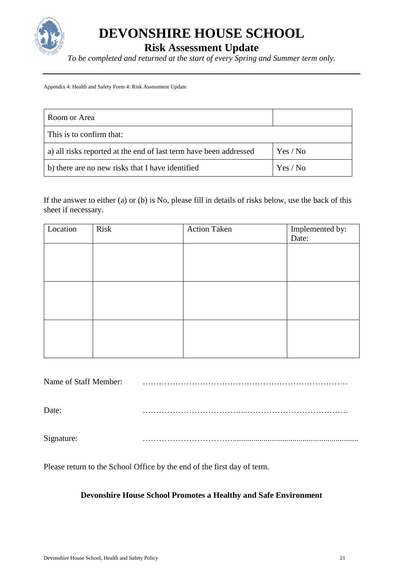

**Risk Assessment Update**

*To be completed and returned at the start of every Spring and Summer term only.*

Appendix 4: Health and Safety Form 4: Risk Assessment Update

| Room or Area                                                      |          |
|-------------------------------------------------------------------|----------|
| This is to confirm that:                                          |          |
| a) all risks reported at the end of last term have been addressed | Yes / No |
| b) there are no new risks that I have identified                  | Yes / No |

If the answer to either (a) or (b) is No, please fill in details of risks below, use the back of this sheet if necessary.

| Location | Risk | <b>Action Taken</b> | Implemented by:<br>Date: |
|----------|------|---------------------|--------------------------|
|          |      |                     |                          |
|          |      |                     |                          |
|          |      |                     |                          |
|          |      |                     |                          |
|          |      |                     |                          |
|          |      |                     |                          |

Name of Staff Member: …………………………………………………………………

Date: ………………………………...……………………………….

Signature: …………………………….............................................................

Please return to the School Office by the end of the first day of term.

# **Devonshire House School Promotes a Healthy and Safe Environment**